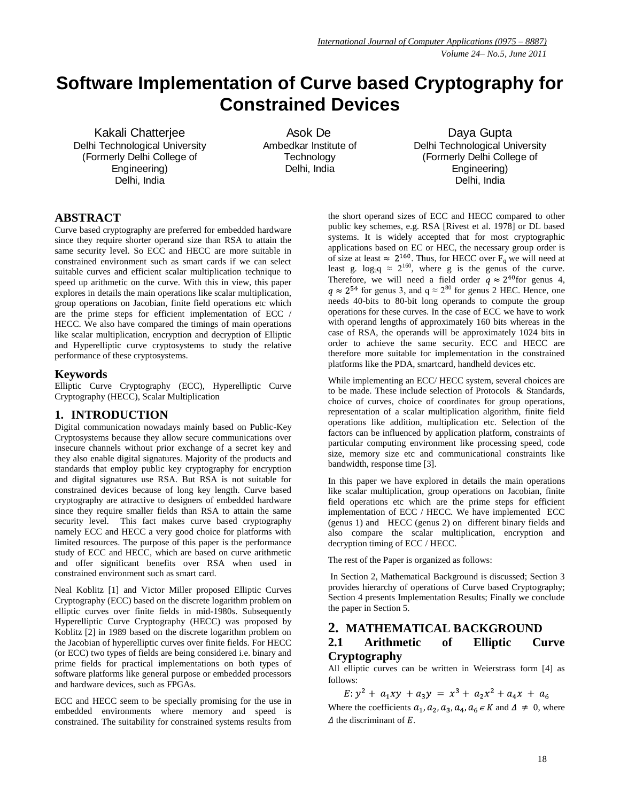# **Software Implementation of Curve based Cryptography for Constrained Devices**

Kakali Chatterjee Delhi Technological University (Formerly Delhi College of Engineering) Delhi, India

 Asok De Ambedkar Institute of **Technology** Delhi, India

Daya Gupta Delhi Technological University (Formerly Delhi College of Engineering) Delhi, India

# **ABSTRACT**

Curve based cryptography are preferred for embedded hardware since they require shorter operand size than RSA to attain the same security level. So ECC and HECC are more suitable in constrained environment such as smart cards if we can select suitable curves and efficient scalar multiplication technique to speed up arithmetic on the curve. With this in view, this paper explores in details the main operations like scalar multiplication, group operations on Jacobian, finite field operations etc which are the prime steps for efficient implementation of ECC / HECC. We also have compared the timings of main operations like scalar multiplication, encryption and decryption of Elliptic and Hyperelliptic curve cryptosystems to study the relative performance of these cryptosystems.

### **Keywords**

Elliptic Curve Cryptography (ECC), Hyperelliptic Curve Cryptography (HECC), Scalar Multiplication

# **1. INTRODUCTION**

Digital communication nowadays mainly based on Public-Key Cryptosystems because they allow secure communications over insecure channels without prior exchange of a secret key and they also enable digital signatures. Majority of the products and standards that employ public key cryptography for encryption and digital signatures use RSA. But RSA is not suitable for constrained devices because of long key length. Curve based cryptography are attractive to designers of embedded hardware since they require smaller fields than RSA to attain the same security level. This fact makes curve based cryptography namely ECC and HECC a very good choice for platforms with limited resources. The purpose of this paper is the performance study of ECC and HECC, which are based on curve arithmetic and offer significant benefits over RSA when used in constrained environment such as smart card.

Neal Koblitz [1] and Victor Miller proposed Elliptic Curves Cryptography (ECC) based on the discrete logarithm problem on elliptic curves over finite fields in mid-1980s. Subsequently Hyperelliptic Curve Cryptography (HECC) was proposed by Koblitz [2] in 1989 based on the discrete logarithm problem on the Jacobian of hyperelliptic curves over finite fields. For HECC (or ECC) two types of fields are being considered i.e. binary and prime fields for practical implementations on both types of software platforms like general purpose or embedded processors and hardware devices, such as FPGAs.

ECC and HECC seem to be specially promising for the use in embedded environments where memory and speed is constrained. The suitability for constrained systems results from the short operand sizes of ECC and HECC compared to other public key schemes, e.g. RSA [Rivest et al. 1978] or DL based systems. It is widely accepted that for most cryptographic applications based on EC or HEC, the necessary group order is of size at least  $\approx 2^{160}$ . Thus, for HECC over F<sub>q</sub> we will need at least g.  $log_{2}q \approx 2^{160}$ , where g is the genus of the curve. Therefore, we will need a field order  $q \approx 2^{40}$  for genus 4,  $g \approx 2^{54}$  for genus 3, and  $g \approx 2^{80}$  for genus 2 HEC. Hence, one needs 40-bits to 80-bit long operands to compute the group operations for these curves. In the case of ECC we have to work with operand lengths of approximately 160 bits whereas in the case of RSA, the operands will be approximately 1024 bits in order to achieve the same security. ECC and HECC are therefore more suitable for implementation in the constrained platforms like the PDA, smartcard, handheld devices etc.

While implementing an ECC/ HECC system, several choices are to be made. These include selection of Protocols & Standards, choice of curves, choice of coordinates for group operations, representation of a scalar multiplication algorithm, finite field operations like addition, multiplication etc. Selection of the factors can be influenced by application platform, constraints of particular computing environment like processing speed, code size, memory size etc and communicational constraints like bandwidth, response time [3].

In this paper we have explored in details the main operations like scalar multiplication, group operations on Jacobian, finite field operations etc which are the prime steps for efficient implementation of ECC / HECC. We have implemented ECC (genus 1) and HECC (genus 2) on different binary fields and also compare the scalar multiplication, encryption and decryption timing of ECC / HECC.

The rest of the Paper is organized as follows:

In Section 2, Mathematical Background is discussed; Section 3 provides hierarchy of operations of Curve based Cryptography; Section 4 presents Implementation Results; Finally we conclude the paper in Section 5.

# **2. MATHEMATICAL BACKGROUND 2.1 Arithmetic of Elliptic Curve Cryptography**

All elliptic curves can be written in Weierstrass form [4] as follows:

 $E: y^2 + a_1xy + a_3y = x^3 + a_2x^2 + a_4x + a_6$ Where the coefficients  $a_1, a_2, a_3, a_4, a_6 \in K$  and  $\Delta \neq 0$ , where  $\Delta$  the discriminant of E.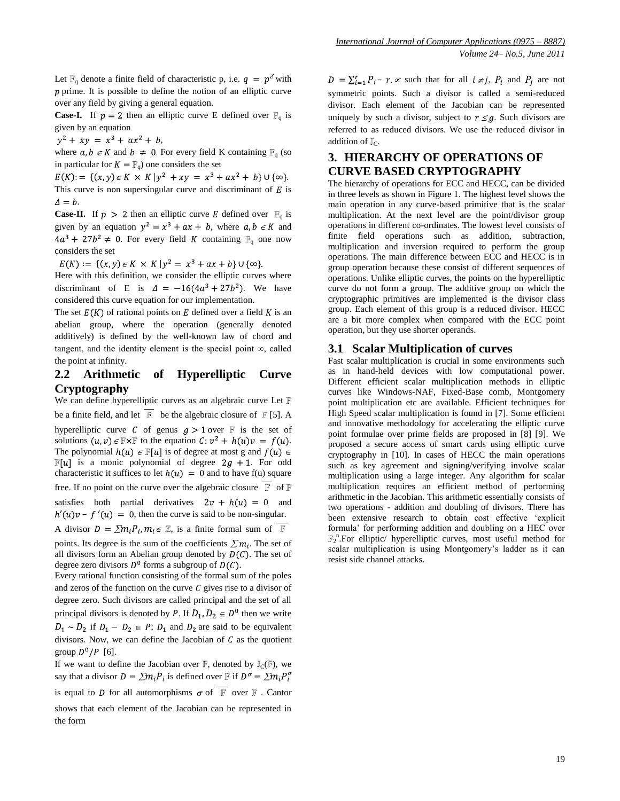Let  $\mathbb{F}_q$  denote a finite field of characteristic p, i.e.  $q = p^{\delta}$  with  $p$  prime. It is possible to define the notion of an elliptic curve over any field by giving a general equation.

**Case-I.** If  $p = 2$  then an elliptic curve E defined over  $\mathbb{F}_q$  is given by an equation

 $y^2 + xy = x^3 + ax^2 + b$ ,

where  $a, b \in K$  and  $b \neq 0$ . For every field K containing  $\mathbb{F}_q$  (so in particular for  $K = \mathbb{F}_q$  one considers the set

 $E(K) := \{(x, y) \in K \times K \mid y^2 + xy = x^3 + ax^2 + b\} \cup \{\infty\}.$ This curve is non supersingular curve and discriminant of  $E$  is  $\Delta = b$ .

**Case-II.** If  $p > 2$  then an elliptic curve E defined over  $\mathbb{F}_q$  is given by an equation  $y^2 = x^3 + ax + b$ , where  $a, b \in K$  and  $4a^3 + 27b^2 \neq 0$ . For every field K containing  $\mathbb{F}_q$  one now considers the set

 $E(K) := \{ (x, y) \in K \times K \mid y^2 = x^3 + ax + b \} \cup \{ \infty \}.$ 

Here with this definition, we consider the elliptic curves where discriminant of E is  $\Delta = -16(4a^3 + 27b^2)$ . We have considered this curve equation for our implementation.

The set  $E(K)$  of rational points on E defined over a field K is an abelian group, where the operation (generally denoted additively) is defined by the well-known law of chord and tangent, and the identity element is the special point  $\infty$ , called the point at infinity.

## **2.2 Arithmetic of Hyperelliptic Curve Cryptography**

We can define hyperelliptic curves as an [algebraic curve](http://en.wikipedia.org/wiki/Algebraic_curve) Let F be a finite field, and let  $\overline{\mathbb{F}}$  be the algebraic closure of  $\mathbb{F}$  [5]. A hyperelliptic curve C of genus  $q > 1$  over F is the set of solutions  $(u, v) \in \mathbb{F} \times \mathbb{F}$  to the equation  $C: v^2 + h(u)v = f(u)$ . The polynomial  $h(u) \in \mathbb{F}[u]$  is of degree at most g and  $f(u) \in$  $\mathbb{F}[u]$  is a monic polynomial of degree  $2g + 1$ . For odd characteristic it suffices to let  $h(u) = 0$  and to have f(u) square free. If no point on the curve over the algebraic closure  $\overline{\mathbb{F}}$  of  $\mathbb F$ satisfies both partial derivatives  $2v + h(u) = 0$  and  $h'(u)v - f'(u) = 0$ , then the curve is said to be non-singular. A divisor  $D = \sum m_i P_i$ ,  $m_i \in \mathbb{Z}$ , is a finite formal sum of  $\overline{\mathbb{F}}$ 

points. Its degree is the sum of the coefficients  $\sum m_i$ . The set of all divisors form an Abelian group denoted by  $D(C)$ . The set of degree zero divisors  $D^0$  forms a subgroup of  $D(C)$ .

Every rational function consisting of the formal sum of the poles and zeros of the function on the curve  $C$  gives rise to a divisor of degree zero. Such divisors are called principal and the set of all principal divisors is denoted by P. If  $D_1, D_2 \in D^0$  then we write  $D_1 \sim D_2$  if  $D_1 - D_2 \in P$ ;  $D_1$  and  $D_2$  are said to be equivalent divisors. Now, we can define the Jacobian of  $C$  as the quotient group  $D^0/P$  [6].

If we want to define the Jacobian over  $\mathbb{F}$ , denoted by  $\mathbb{J}_{\mathcal{C}}(\mathbb{F})$ , we say that a divisor  $D = \sum m_i P_i$  is defined over  $\mathbb{F}$  if  $D^{\sigma} = \sum m_i P_i^{\sigma}$ is equal to D for all automorphisms  $\sigma$  of  $\overline{\mathbb{F}}$  over  $\mathbb F$ . Cantor shows that each element of the Jacobian can be represented in the form

 $D = \sum_{i=1}^{r} P_i - r \propto$  such that for all  $i \neq j$ ,  $P_i$  and  $P_i$  are not symmetric points. Such a divisor is called a semi-reduced divisor. Each element of the Jacobian can be represented uniquely by such a divisor, subject to  $r \leq q$ . Such divisors are referred to as reduced divisors. We use the reduced divisor in addition of  $\mathbb{J}_C$ .

# **3. HIERARCHY OF OPERATIONS OF CURVE BASED CRYPTOGRAPHY**

The hierarchy of operations for ECC and HECC, can be divided in three levels as shown in Figure 1. The highest level shows the main operation in any curve-based primitive that is the scalar multiplication. At the next level are the point/divisor group operations in different co-ordinates. The lowest level consists of finite field operations such as addition, subtraction, multiplication and inversion required to perform the group operations. The main difference between ECC and HECC is in group operation because these consist of different sequences of operations. Unlike elliptic curves, the points on the hyperelliptic curve do not form a group. The additive group on which the cryptographic primitives are implemented is the divisor class group. Each element of this group is a reduced divisor. HECC are a bit more complex when compared with the ECC point operation, but they use shorter operands.

#### **3.1 Scalar Multiplication of curves**

Fast scalar multiplication is crucial in some environments such as in hand-held devices with low computational power. Different efficient scalar multiplication methods in elliptic curves like Windows-NAF, Fixed-Base comb, Montgomery point multiplication etc are available. Efficient techniques for High Speed scalar multiplication is found in [7]. Some efficient and innovative methodology for accelerating the elliptic curve point formulae over prime fields are proposed in [8] [9]. We proposed a secure access of smart cards using elliptic curve cryptography in [10]. In cases of HECC the main operations such as key agreement and signing/verifying involve scalar multiplication using a large integer. Any algorithm for scalar multiplication requires an efficient method of performing arithmetic in the Jacobian. This arithmetic essentially consists of two operations - addition and doubling of divisors. There has been extensive research to obtain cost effective "explicit formula" for performing addition and doubling on a HEC over <sup>n</sup>.For elliptic/ hyperelliptic curves, most useful method for scalar multiplication is using Montgomery"s ladder as it can resist side channel attacks.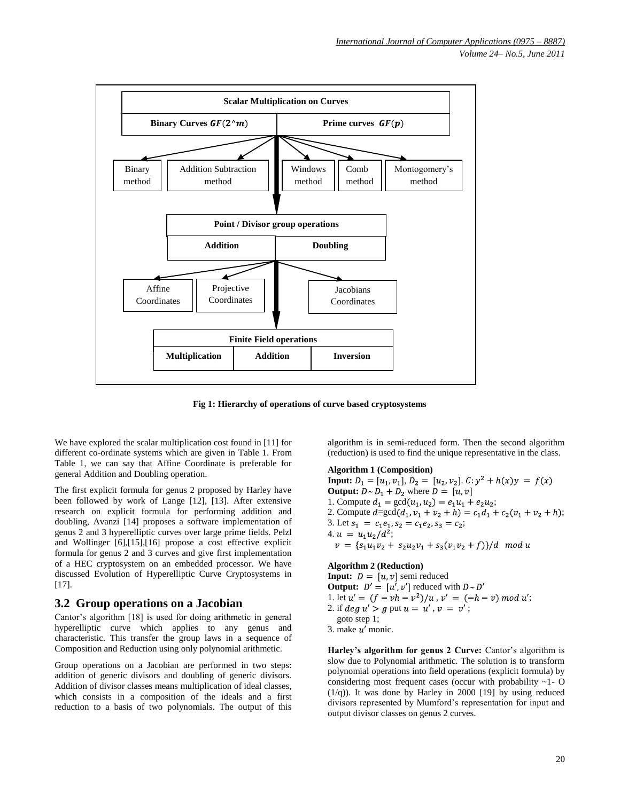

**Fig 1: Hierarchy of operations of curve based cryptosystems**

We have explored the scalar multiplication cost found in [11] for different co-ordinate systems which are given in Table 1. From Table 1, we can say that Affine Coordinate is preferable for general Addition and Doubling operation.

The first explicit formula for genus 2 proposed by Harley have been followed by work of Lange [12], [13]. After extensive research on explicit formula for performing addition and doubling, Avanzi [14] proposes a software implementation of genus 2 and 3 hyperelliptic curves over large prime fields. Pelzl and Wollinger [6],[15],[16] propose a cost effective explicit formula for genus 2 and 3 curves and give first implementation of a HEC cryptosystem on an embedded processor. We have discussed Evolution of Hyperelliptic Curve Cryptosystems in [17].

### **3.2 Group operations on a Jacobian**

Cantor's algorithm [18] is used for doing arithmetic in general hyperelliptic curve which applies to any genus and characteristic. This transfer the group laws in a sequence of Composition and Reduction using only polynomial arithmetic.

Group operations on a Jacobian are performed in two steps: addition of generic divisors and doubling of generic divisors. Addition of divisor classes means multiplication of ideal classes, which consists in a composition of the ideals and a first reduction to a basis of two polynomials. The output of this

algorithm is in semi-reduced form. Then the second algorithm (reduction) is used to find the unique representative in the class.

#### **Algorithm 1 (Composition)**

**Input:**  $D_1 = [u_1, v_1], D_2 = [u_2, v_2].$   $C: y^2 + h(x)y = f(x)$ **Output:**  $D \sim D_1 + D_2$  where  $D = [u, v]$ 1. Compute  $d_1 = \gcd(u_1, u_2) = e_1u_1 + e_2u_2;$ 2. Compute  $d = \gcd(d_1, v_1 + v_2 + h) = c_1 d_1 + c_2 (v_1 + v_2 + h);$ 3. Let  $s_1 = c_1 e_1$ ,  $s_2 = c_1 e_2$ ,  $s_3 = c_2$ ; 4.  $u = u_1 u_2 / d^2$ ;  $v = \frac{s_1 u_1 v_2 + s_2 u_2 v_1 + s_3 (v_1 v_2 + f)}{d \mod u}$ 

## **Algorithm 2 (Reduction)**

**Input:**  $D = [u, v]$  semi reduced **Output:**  $D' = [u', v']$  reduced with  $D \sim D'$ 1. let  $u' = (f - vh - v^2)/u$ ,  $v' = (-h - v) \mod u'$ ; 2. if  $deg u' > q$  put  $u = u'$ ,  $v = v'$ ; goto step 1; 3. make  $u'$  monic.

Harley's algorithm for genus 2 Curve: Cantor's algorithm is slow due to Polynomial arithmetic. The solution is to transform polynomial operations into field operations (explicit formula) by considering most frequent cases (occur with probability ~1- O  $(1/q)$ ). It was done by Harley in 2000 [19] by using reduced divisors represented by Mumford"s representation for input and output divisor classes on genus 2 curves.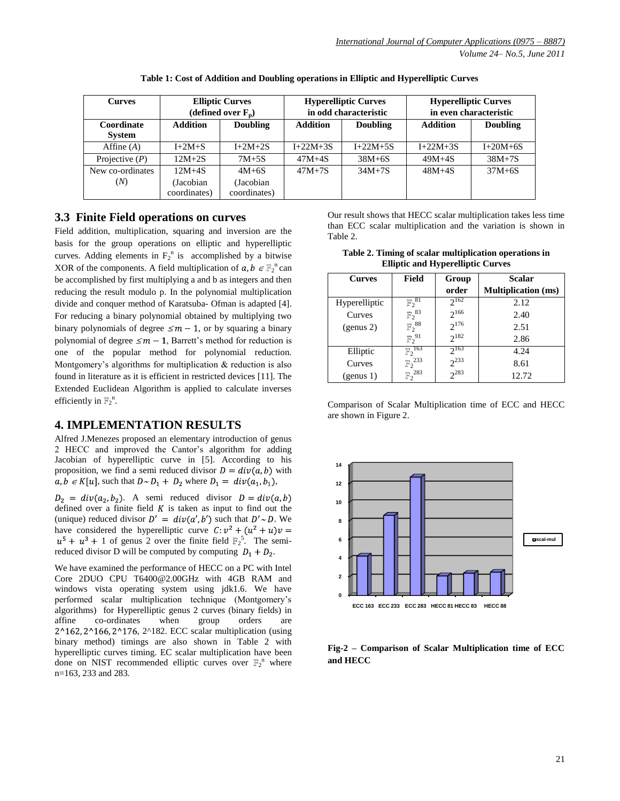| <b>Curves</b>               | <b>Elliptic Curves</b><br>(defined over $F_n$ ) |                                      |                 | <b>Hyperelliptic Curves</b><br>in odd characteristic | <b>Hyperelliptic Curves</b><br>in even characteristic |                 |  |
|-----------------------------|-------------------------------------------------|--------------------------------------|-----------------|------------------------------------------------------|-------------------------------------------------------|-----------------|--|
| Coordinate<br><b>System</b> | <b>Addition</b>                                 | <b>Doubling</b>                      | <b>Addition</b> | <b>Doubling</b>                                      | <b>Addition</b>                                       | <b>Doubling</b> |  |
| Affine $(A)$                | $I+2M+S$                                        | $I+2M+2S$                            | $I + 22M + 3S$  | $I+22M+5S$                                           | $I+22M+3S$                                            | $I+20M+6S$      |  |
| Projective $(P)$            | $12M+2S$                                        | $7M+5S$                              | $47M+4S$        | $38M+6S$                                             | $49M+4S$                                              | $38M+7S$        |  |
| New co-ordinates<br>(N)     | $12M+4S$<br>(Jacobian)<br>coordinates)          | $4M+6S$<br>(Jacobian<br>coordinates) | $47M+7S$        | $34M+7S$                                             | $48M+4S$                                              | $37M+6S$        |  |

**Table 1: Cost of Addition and Doubling operations in Elliptic and Hyperelliptic Curves**

### **3.3 Finite Field operations on curves**

Field addition, multiplication, squaring and inversion are the basis for the group operations on elliptic and hyperelliptic curves. Adding elements in  $F_2^{\text{n}}$  is accomplished by a bitwise XOR of the components. A field multiplication of  $a, b \in \mathbb{F}_2^n$  can be accomplished by first multiplying a and b as integers and then reducing the result modulo p. In the polynomial multiplication divide and conquer method of Karatsuba- Ofman is adapted [4]. For reducing a binary polynomial obtained by multiplying two binary polynomials of degree  $\leq m - 1$ , or by squaring a binary polynomial of degree  $\leq m-1$ , Barrett's method for reduction is one of the popular method for polynomial reduction. Montgomery's algorithms for multiplication  $\&$  reduction is also found in literature as it is efficient in restricted devices [11]. The Extended Euclidean Algorithm is applied to calculate inverses efficiently in  $\mathbb{F}_2^n$ .

### **4. IMPLEMENTATION RESULTS**

Alfred J.Menezes proposed an elementary introduction of genus 2 HECC and improved the Cantor"s algorithm for adding Jacobian of hyperelliptic curve in [5]. According to his proposition, we find a semi reduced divisor  $D = div(a, b)$  with  $a, b \in K[u]$ , such that  $D \sim D_1 + D_2$  where  $D_1 = div(a_1, b_1)$ ,

 $D_2 = div(a_2, b_2)$ . A semi reduced divisor  $D = div(a, b)$ defined over a finite field  $K$  is taken as input to find out the (unique) reduced divisor  $D' = div(a', b')$  such that  $D' \sim D$ . We have considered the hyperelliptic curve  $C: v^2 + (u^2 + u)v =$ 1 of genus 2 over the finite field  $\mathbb{F}_2^5$ . The semireduced divisor D will be computed by computing  $D_1 + D_2$ .

We have examined the performance of HECC on a PC with Intel Core 2DUO CPU [T6400@2.00GHz](mailto:T6400@2.00GHz) with 4GB RAM and windows vista operating system using jdk1.6. We have performed scalar multiplication technique (Montgomery"s algorithms) for Hyperelliptic genus 2 curves (binary fields) in affine co-ordinates when group orders are 2^162, 2^166, 2^176, 2^182. ECC scalar multiplication (using binary method) timings are also shown in Table 2 with hyperelliptic curves timing. EC scalar multiplication have been done on NIST recommended elliptic curves over  $\mathbb{F}_2$ <sup>n</sup> where n=163, 233 and 283.

Our result shows that HECC scalar multiplication takes less time than ECC scalar multiplication and the variation is shown in Table 2.

| Table 2. Timing of scalar multiplication operations in |
|--------------------------------------------------------|
| <b>Elliptic and Hyperelliptic Curves</b>               |

| <b>Curves</b> | <b>Field</b>           | Group                   | Scalar                     |  |  |
|---------------|------------------------|-------------------------|----------------------------|--|--|
|               |                        | order                   | <b>Multiplication</b> (ms) |  |  |
| Hyperelliptic | $\mathbb{F}_2^{81}$    | $2^{162}$               | 2.12                       |  |  |
| Curves        | ${F_2}^{83}$           | $2^{166}$               | 2.40                       |  |  |
| (genus 2)     | ${{\mathbb F}_2}^{88}$ | $2^{176}$               | 2.51                       |  |  |
|               | ${{\mathbb F}_2}^{91}$ | $2^{182}$               | 2.86                       |  |  |
| Elliptic      | $\mathbb{F}_2^{163}$   | $\gamma$ <sup>163</sup> | 4.24                       |  |  |
| Curves        | ${F_2}^{233}$          | $2^{233}$               | 8.61                       |  |  |
| (genus 1)     | $\mathbb{F}_2^{283}$   | $2^{283}$               | 12.72                      |  |  |

Comparison of Scalar Multiplication time of ECC and HECC are shown in Figure 2.



**Fig-2 – Comparison of Scalar Multiplication time of ECC and HECC**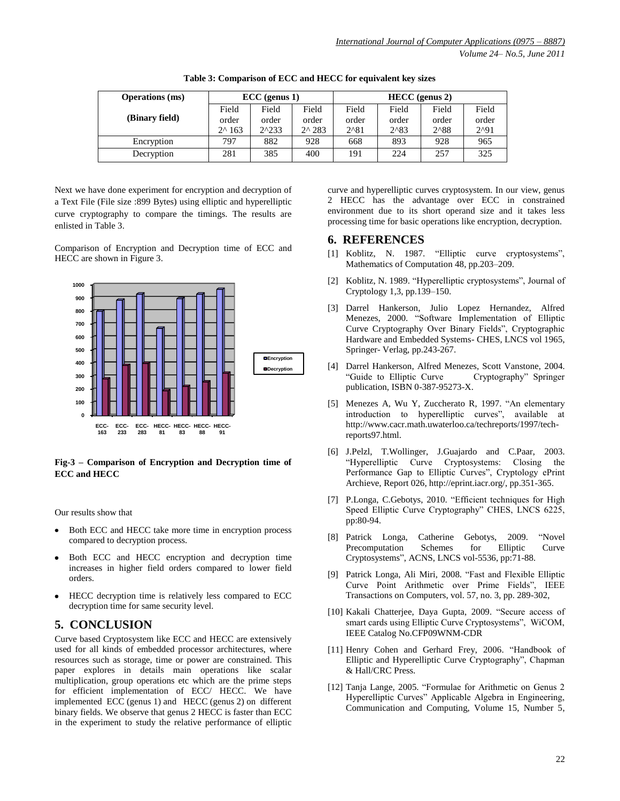| <b>Operations</b> (ms) | $\text{ECC}$ (genus 1) |                 |                  | $HECC$ (genus 2) |                |                |            |
|------------------------|------------------------|-----------------|------------------|------------------|----------------|----------------|------------|
|                        | Field                  | Field           | Field            | Field            | Field          | Field          | Field      |
| (Binary field)         | order                  | order           | order            | order            | order          | order          | order      |
|                        | $2^{\wedge} 163$       | $2^{\wedge}233$ | $2^{\wedge} 283$ | $2^{\wedge}81$   | $2^{\wedge}83$ | $2^{\wedge}88$ | $2^{0.91}$ |
| Encryption             | 797                    | 882             | 928              | 668              | 893            | 928            | 965        |
| Decryption             | 281                    | 385             | 400              | 191              | 224            | 257            | 325        |

**Table 3: Comparison of ECC and HECC for equivalent key sizes**

Next we have done experiment for encryption and decryption of a Text File (File size :899 Bytes) using elliptic and hyperelliptic curve cryptography to compare the timings. The results are enlisted in Table 3.

Comparison of Encryption and Decryption time of ECC and HECC are shown in Figure 3.



#### **Fig-3 – Comparison of Encryption and Decryption time of ECC and HECC**

Our results show that

- Both ECC and HECC take more time in encryption process  $\bullet$ compared to decryption process.
- Both ECC and HECC encryption and decryption time increases in higher field orders compared to lower field orders.
- HECC decryption time is relatively less compared to ECC  $\bullet$ decryption time for same security level.

# **5. CONCLUSION**

Curve based Cryptosystem like ECC and HECC are extensively used for all kinds of embedded processor architectures, where resources such as storage, time or power are constrained. This paper explores in details main operations like scalar multiplication, group operations etc which are the prime steps for efficient implementation of ECC/ HECC. We have implemented ECC (genus 1) and HECC (genus 2) on different binary fields. We observe that genus 2 HECC is faster than ECC in the experiment to study the relative performance of elliptic curve and hyperelliptic curves cryptosystem. In our view, genus 2 HECC has the advantage over ECC in constrained environment due to its short operand size and it takes less processing time for basic operations like encryption, decryption.

### **6. REFERENCES**

- [1] Koblitz, N. 1987. "Elliptic curve cryptosystems", Mathematics of Computation 48, pp.203–209.
- [2] Koblitz, N. 1989. "Hyperelliptic cryptosystems", Journal of Cryptology 1,3, pp.139–150.
- [3] Darrel Hankerson, Julio Lopez Hernandez, Alfred Menezes, 2000. "Software Implementation of Elliptic Curve Cryptography Over Binary Fields", Cryptographic Hardware and Embedded Systems- CHES, LNCS vol 1965, Springer- Verlag, pp.243-267.
- [4] Darrel Hankerson, Alfred Menezes, Scott Vanstone, 2004. "Guide to Elliptic Curve Cryptography" Springer publication, ISBN 0-387-95273-X.
- [5] Menezes A, Wu Y, Zuccherato R, 1997. "An elementary introduction to hyperelliptic curves", available at [http://www.cacr.math.uwaterloo.ca/techreports/1997/tech](http://www.cacr.math.uwaterloo.ca/techreports/1997/tech-reports97.html)[reports97.html.](http://www.cacr.math.uwaterloo.ca/techreports/1997/tech-reports97.html)
- [6] J.Pelzl, T.Wollinger, J.Guajardo and C.Paar, 2003. "Hyperelliptic Curve Cryptosystems: Closing the Performance Gap to Elliptic Curves", Cryptology ePrint Archieve, Report 026, http://eprint.iacr.org/, pp.351-365.
- [7] P.Longa, C.Gebotys, 2010. "Efficient techniques for High Speed Elliptic Curve Cryptography" CHES, LNCS 6225, pp:80-94.
- [8] Patrick Longa, Catherine Gebotys, 2009. ["Novel](http://www.springerlink.com/content/r33461j41121/#section=72538)  [Precomputation Schemes for Elliptic Curve](http://www.springerlink.com/content/r33461j41121/#section=72538)  [Cryptosystems"](http://www.springerlink.com/content/r33461j41121/#section=72538), ACNS, LNCS vol-5536, pp:71-88.
- [9] Patrick Longa, Ali Miri, 2008. "Fast and Flexible Elliptic Curve Point Arithmetic over Prime Fields", IEEE Transactions on Computers, vol. 57, no. 3, pp. 289-302,
- [10] Kakali Chatterjee, Daya Gupta, 2009. "Secure access of smart cards using Elliptic Curve Cryptosystems", WiCOM, IEEE Catalog No.CFP09WNM-CDR
- [11] Henry Cohen and Gerhard Frey, 2006. "Handbook of Elliptic and Hyperelliptic Curve Cryptography", Chapman & Hall/CRC Press.
- [12] Tanja Lange, 2005. "Formulae for Arithmetic on Genus 2 Hyperelliptic Curves" Applicable Algebra in Engineering, Communication and Computing, [Volume 15, Number 5,](http://www.springerlink.com/content/0938-1279/15/5/)